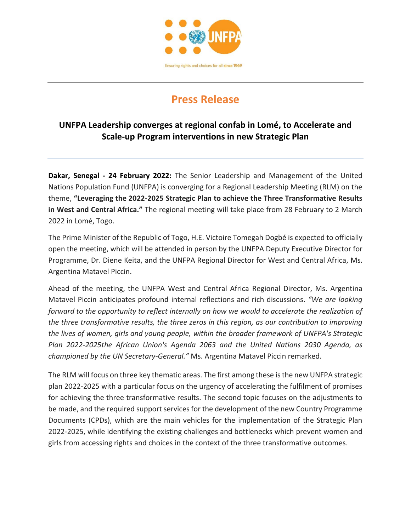

## **Press Release**

## **UNFPA Leadership converges at regional confab in Lomé, to Accelerate and Scale-up Program interventions in new Strategic Plan**

**Dakar, Senegal - 24 February 2022:** The Senior Leadership and Management of the United Nations Population Fund (UNFPA) is converging for a Regional Leadership Meeting (RLM) on the theme, **"Leveraging the 2022-2025 Strategic Plan to achieve the Three Transformative Results in West and Central Africa."** The regional meeting will take place from 28 February to 2 March 2022 in Lomé, Togo.

The Prime Minister of the Republic of Togo, H.E. Victoire Tomegah Dogbé is expected to officially open the meeting, which will be attended in person by the UNFPA Deputy Executive Director for Programme, Dr. Diene Keita, and the UNFPA Regional Director for West and Central Africa, Ms. Argentina Matavel Piccin.

Ahead of the meeting, the UNFPA West and Central Africa Regional Director, Ms. Argentina Matavel Piccin anticipates profound internal reflections and rich discussions. *"We are looking forward to the opportunity to reflect internally on how we would to accelerate the realization of the three transformative results, the three zeros in this region, as our contribution to improving the lives of women, girls and young people, within the broader framework of UNFPA's Strategic Plan 2022-2025the African Union's Agenda 2063 and the United Nations 2030 Agenda, as championed by the UN Secretary-General."* Ms. Argentina Matavel Piccin remarked.

The RLM will focus on three key thematic areas. The first among these is the new UNFPA strategic plan 2022-2025 with a particular focus on the urgency of accelerating the fulfilment of promises for achieving the three transformative results. The second topic focuses on the adjustments to be made, and the required support services for the development of the new Country Programme Documents (CPDs), which are the main vehicles for the implementation of the Strategic Plan 2022-2025, while identifying the existing challenges and bottlenecks which prevent women and girls from accessing rights and choices in the context of the three transformative outcomes.